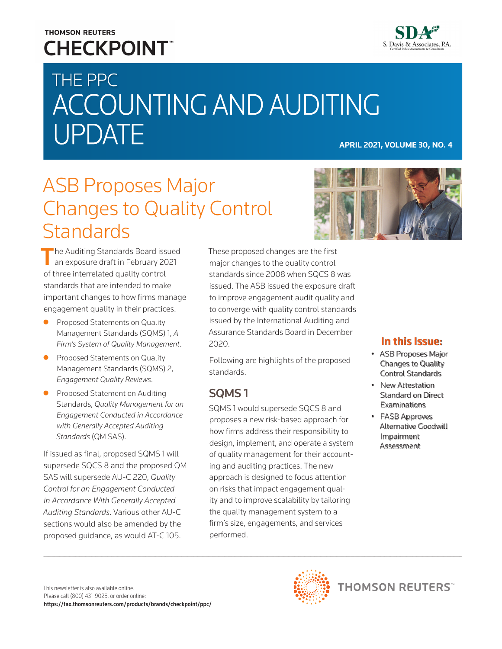# **THOMSON REUTERS CHECKPOINT**



# THE PPC ACCOUNTING AND AUDITING UPDATE **APRIL 2021, VOLUME 30, NO. 4**

# ASB Proposes Major Changes to Quality Control **Standards**

The Auditing Standards Board issued an exposure draft in February 2021 of three interrelated quality control standards that are intended to make important changes to how firms manage engagement quality in their practices.

- **•** Proposed Statements on Quality Management Standards (SQMS) 1, *A Firm's System of Quality Management*.
- Proposed Statements on Quality Management Standards (SQMS) 2, *Engagement Quality Reviews*.
- Proposed Statement on Auditing Standards, *Quality Management for an Engagement Conducted in Accordance with Generally Accepted Auditing Standards* (QM SAS).

If issued as final, proposed SQMS 1 will supersede SQCS 8 and the proposed QM SAS will supersede AU-C 220, *Quality Control for an Engagement Conducted in Accordance With Generally Accepted Auditing Standards*. Various other AU-C sections would also be amended by the proposed guidance, as would AT-C 105.

These proposed changes are the first major changes to the quality control standards since 2008 when SQCS 8 was issued. The ASB issued the exposure draft to improve engagement audit quality and to converge with quality control standards issued by the International Auditing and Assurance Standards Board in December 2020.

Following are highlights of the proposed standards.

# SQMS 1

SQMS 1 would supersede SQCS 8 and proposes a new risk-based approach for how firms address their responsibility to design, implement, and operate a system of quality management for their accounting and auditing practices. The new approach is designed to focus attention on risks that impact engagement quality and to improve scalability by tailoring the quality management system to a firm's size, engagements, and services performed.



### In this Issue:

- ASB Proposes Major Changes to Quality Control Standards
- New Attestation Standard on Direct **Examinations**
- FASB Approves Alternative Goodwill Impairment Assessment

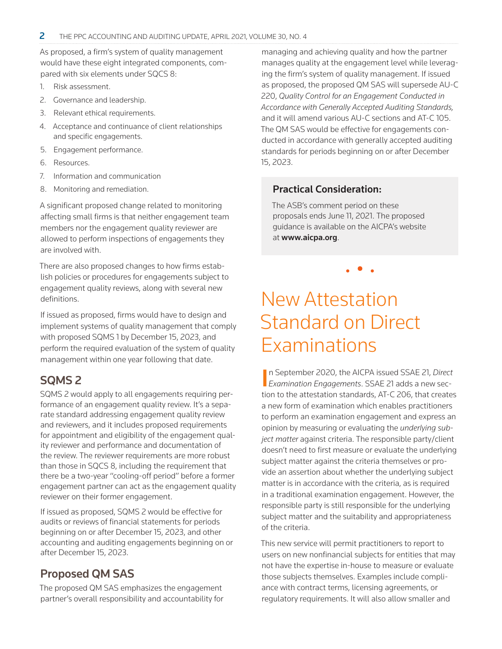As proposed, a firm's system of quality management would have these eight integrated components, compared with six elements under SQCS 8:

- 1. Risk assessment.
- 2. Governance and leadership.
- 3. Relevant ethical requirements.
- 4. Acceptance and continuance of client relationships and specific engagements.
- 5. Engagement performance.
- 6. Resources.
- 7. Information and communication
- 8. Monitoring and remediation.

A significant proposed change related to monitoring affecting small firms is that neither engagement team members nor the engagement quality reviewer are allowed to perform inspections of engagements they are involved with.

There are also proposed changes to how firms establish policies or procedures for engagements subject to engagement quality reviews, along with several new definitions.

If issued as proposed, firms would have to design and implement systems of quality management that comply with proposed SQMS 1 by December 15, 2023, and perform the required evaluation of the system of quality management within one year following that date.

## SQMS 2

SQMS 2 would apply to all engagements requiring performance of an engagement quality review. It's a separate standard addressing engagement quality review and reviewers, and it includes proposed requirements for appointment and eligibility of the engagement quality reviewer and performance and documentation of the review. The reviewer requirements are more robust than those in SQCS 8, including the requirement that there be a two-year "cooling-off period" before a former engagement partner can act as the engagement quality reviewer on their former engagement.

If issued as proposed, SQMS 2 would be effective for audits or reviews of financial statements for periods beginning on or after December 15, 2023, and other accounting and auditing engagements beginning on or after December 15, 2023.

# Proposed QM SAS

The proposed QM SAS emphasizes the engagement partner's overall responsibility and accountability for managing and achieving quality and how the partner manages quality at the engagement level while leveraging the firm's system of quality management. If issued as proposed, the proposed QM SAS will supersede AU-C 220, *Quality Control for an Engagement Conducted in Accordance with Generally Accepted Auditing Standards,* and it will amend various AU-C sections and AT-C 105. The QM SAS would be effective for engagements conducted in accordance with generally accepted auditing standards for periods beginning on or after December 15, 2023.

### Practical Consideration:

The ASB's comment period on these proposals ends June 11, 2021. The proposed guidance is available on the AICPA's website at www.aicpa.org.

• • •

# New Attestation Standard on Direct Examinations

In September 2020, the AICPA issued SSAE 21, Direct<br>*Examination Engagements*. SSAE 21 adds a new secn September 2020, the AICPA issued SSAE 21, *Direct*  tion to the attestation standards, AT-C 206, that creates a new form of examination which enables practitioners to perform an examination engagement and express an opinion by measuring or evaluating the *underlying subject matter* against criteria. The responsible party/client doesn't need to first measure or evaluate the underlying subject matter against the criteria themselves or provide an assertion about whether the underlying subject matter is in accordance with the criteria, as is required in a traditional examination engagement. However, the responsible party is still responsible for the underlying subject matter and the suitability and appropriateness of the criteria.

This new service will permit practitioners to report to users on new nonfinancial subjects for entities that may not have the expertise in-house to measure or evaluate those subjects themselves. Examples include compliance with contract terms, licensing agreements, or regulatory requirements. It will also allow smaller and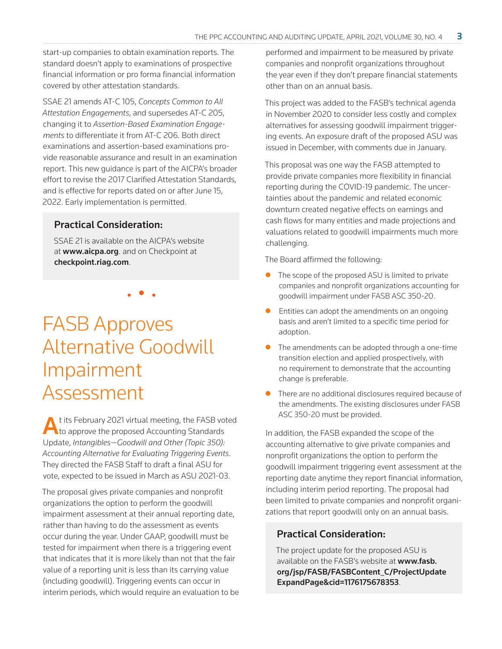start-up companies to obtain examination reports. The standard doesn't apply to examinations of prospective financial information or pro forma financial information covered by other attestation standards.

SSAE 21 amends AT-C 105, *Concepts Common to All Attestation Engagements*, and supersedes AT-C 205, changing it to *Assertion-Based Examination Engagements* to differentiate it from AT-C 206. Both direct examinations and assertion-based examinations provide reasonable assurance and result in an examination report. This new guidance is part of the AICPA's broader effort to revise the 2017 Clarified Attestation Standards, and is effective for reports dated on or after June 15, 2022. Early implementation is permitted.

#### Practical Consideration:

SSAE 21 is available on the AICPA's website at www.aicpa.org. and on Checkpoint at [checkpoint.riag.com](https://checkpoint.riag.com).

• • •

FASB Approves Alternative Goodwill Impairment Assessment

t its February 2021 virtual meeting, the FASB voted **to approve the proposed Accounting Standards** Update, *Intangibles—Goodwill and Other (Topic 350): Accounting Alternative for Evaluating Triggering Events*. They directed the FASB Staff to draft a final ASU for vote, expected to be issued in March as ASU 2021-03.

The proposal gives private companies and nonprofit organizations the option to perform the goodwill impairment assessment at their annual reporting date, rather than having to do the assessment as events occur during the year. Under GAAP, goodwill must be tested for impairment when there is a triggering event that indicates that it is more likely than not that the fair value of a reporting unit is less than its carrying value (including goodwill). Triggering events can occur in interim periods, which would require an evaluation to be performed and impairment to be measured by private companies and nonprofit organizations throughout the year even if they don't prepare financial statements other than on an annual basis.

This project was added to the FASB's technical agenda in November 2020 to consider less costly and complex alternatives for assessing goodwill impairment triggering events. An exposure draft of the proposed ASU was issued in December, with comments due in January.

This proposal was one way the FASB attempted to provide private companies more flexibility in financial reporting during the COVID-19 pandemic. The uncertainties about the pandemic and related economic downturn created negative effects on earnings and cash flows for many entities and made projections and valuations related to goodwill impairments much more challenging.

The Board affirmed the following:

- $\bullet$  The scope of the proposed ASU is limited to private companies and nonprofit organizations accounting for goodwill impairment under FASB ASC 350-20.
- Entities can adopt the amendments on an ongoing basis and aren't limited to a specific time period for adoption.
- The amendments can be adopted through a one-time transition election and applied prospectively, with no requirement to demonstrate that the accounting change is preferable.
- There are no additional disclosures required because of the amendments. The existing disclosures under FASB ASC 350-20 must be provided.

In addition, the FASB expanded the scope of the accounting alternative to give private companies and nonprofit organizations the option to perform the goodwill impairment triggering event assessment at the reporting date anytime they report financial information, including interim period reporting. The proposal had been limited to private companies and nonprofit organizations that report goodwill only on an annual basis.

#### Practical Consideration:

The project update for the proposed ASU is available on the FASB's website at [www.fasb.](https://www.fasb.org/jsp/FASB/FASBContent_C/ProjectUpdateExpandPage&cid=1176175678353) [org/jsp/FASB/FASBContent\\_C/ProjectUpdate](https://www.fasb.org/jsp/FASB/FASBContent_C/ProjectUpdateExpandPage&cid=1176175678353) [ExpandPage&cid=1176175678353](https://www.fasb.org/jsp/FASB/FASBContent_C/ProjectUpdateExpandPage&cid=1176175678353).